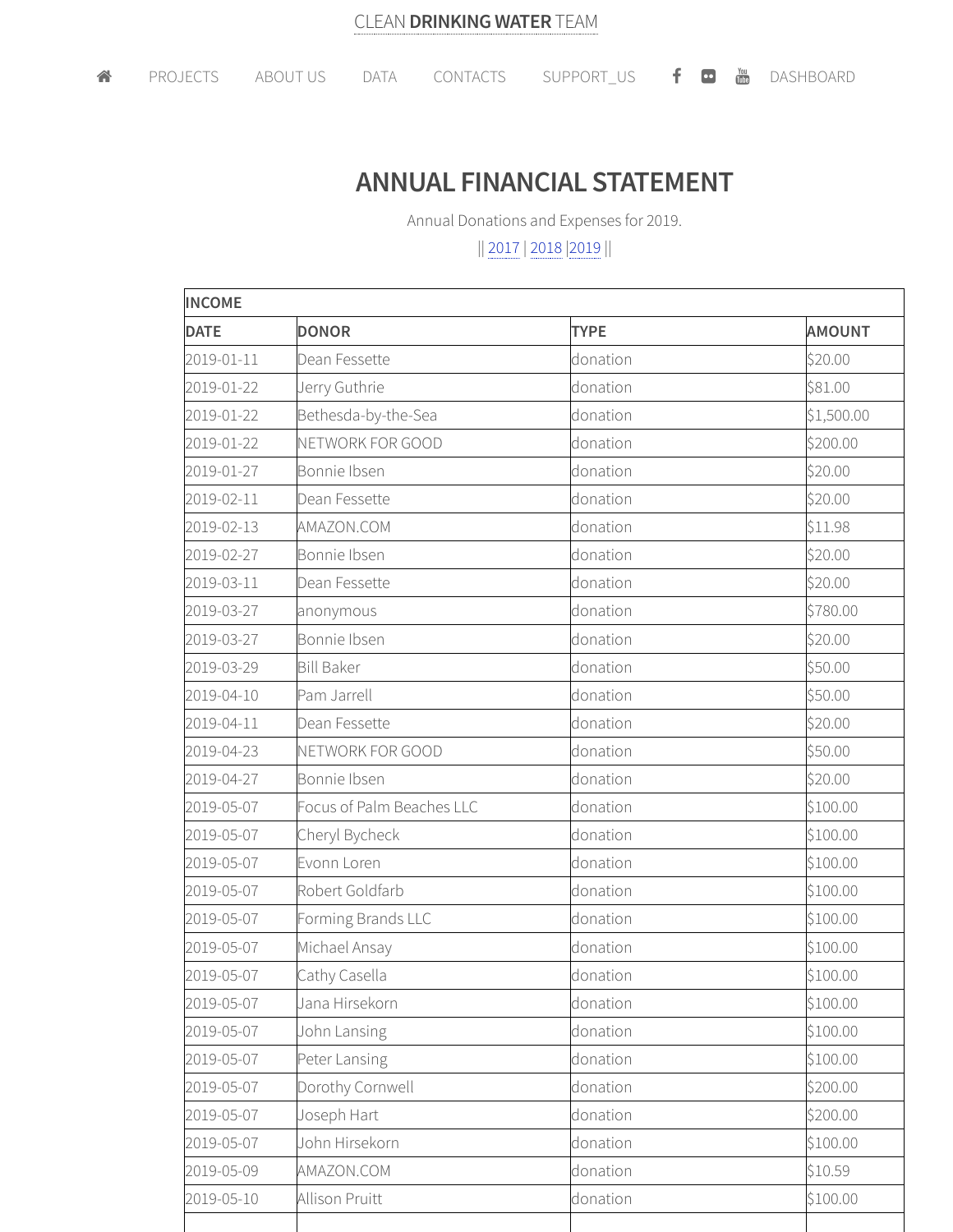## **ANNUAL FINANCIAL STATEMENT**

Annual Donations and Expenses for 2019.

|| 2017 | 2018 |2019 ||

| <b>INCOME</b> |                           |             |               |  |  |
|---------------|---------------------------|-------------|---------------|--|--|
| <b>DATE</b>   | <b>DONOR</b>              | <b>TYPE</b> | <b>AMOUNT</b> |  |  |
| 2019-01-11    | Dean Fessette             | donation    | \$20.00       |  |  |
| 2019-01-22    | Jerry Guthrie             | donation    | \$81.00       |  |  |
| 2019-01-22    | Bethesda-by-the-Sea       | donation    | \$1,500.00    |  |  |
| 2019-01-22    | NETWORK FOR GOOD          | donation    | \$200.00      |  |  |
| 2019-01-27    | Bonnie Ibsen              | donation    | \$20.00       |  |  |
| 2019-02-11    | Dean Fessette             | donation    | \$20.00       |  |  |
| 2019-02-13    | AMAZON.COM                | donation    | \$11.98       |  |  |
| 2019-02-27    | Bonnie Ibsen              | donation    | \$20.00       |  |  |
| 2019-03-11    | Dean Fessette             | donation    | \$20.00       |  |  |
| 2019-03-27    | anonymous                 | donation    | \$780.00      |  |  |
| 2019-03-27    | Bonnie Ibsen              | donation    | \$20.00       |  |  |
| 2019-03-29    | <b>Bill Baker</b>         | donation    | \$50.00       |  |  |
| 2019-04-10    | Pam Jarrell               | donation    | \$50.00       |  |  |
| 2019-04-11    | Dean Fessette             | donation    | \$20.00       |  |  |
| 2019-04-23    | NETWORK FOR GOOD          | donation    | \$50.00       |  |  |
| 2019-04-27    | Bonnie Ibsen              | donation    | \$20.00       |  |  |
| 2019-05-07    | Focus of Palm Beaches LLC | donation    | \$100.00      |  |  |
| 2019-05-07    | Cheryl Bycheck            | donation    | \$100.00      |  |  |
| 2019-05-07    | Evonn Loren               | donation    | \$100.00      |  |  |
| 2019-05-07    | Robert Goldfarb           | donation    | \$100.00      |  |  |
| 2019-05-07    | Forming Brands LLC        | donation    | \$100.00      |  |  |
| 2019-05-07    | Michael Ansay             | donation    | \$100.00      |  |  |
| 2019-05-07    | Cathy Casella             | donation    | \$100.00      |  |  |
| 2019-05-07    | Jana Hirsekorn            | donation    | \$100.00      |  |  |
| 2019-05-07    | John Lansing              | donation    | \$100.00      |  |  |
| 2019-05-07    | Peter Lansing             | donation    | \$100.00      |  |  |
| 2019-05-07    | Dorothy Cornwell          | donation    | \$200.00      |  |  |
| 2019-05-07    | Joseph Hart               | donation    | \$200.00      |  |  |
| 2019-05-07    | John Hirsekorn            | donation    | \$100.00      |  |  |
| 2019-05-09    | AMAZON.COM                | donation    | \$10.59       |  |  |
| 2019-05-10    | <b>Allison Pruitt</b>     | donation    | \$100.00      |  |  |
|               |                           |             |               |  |  |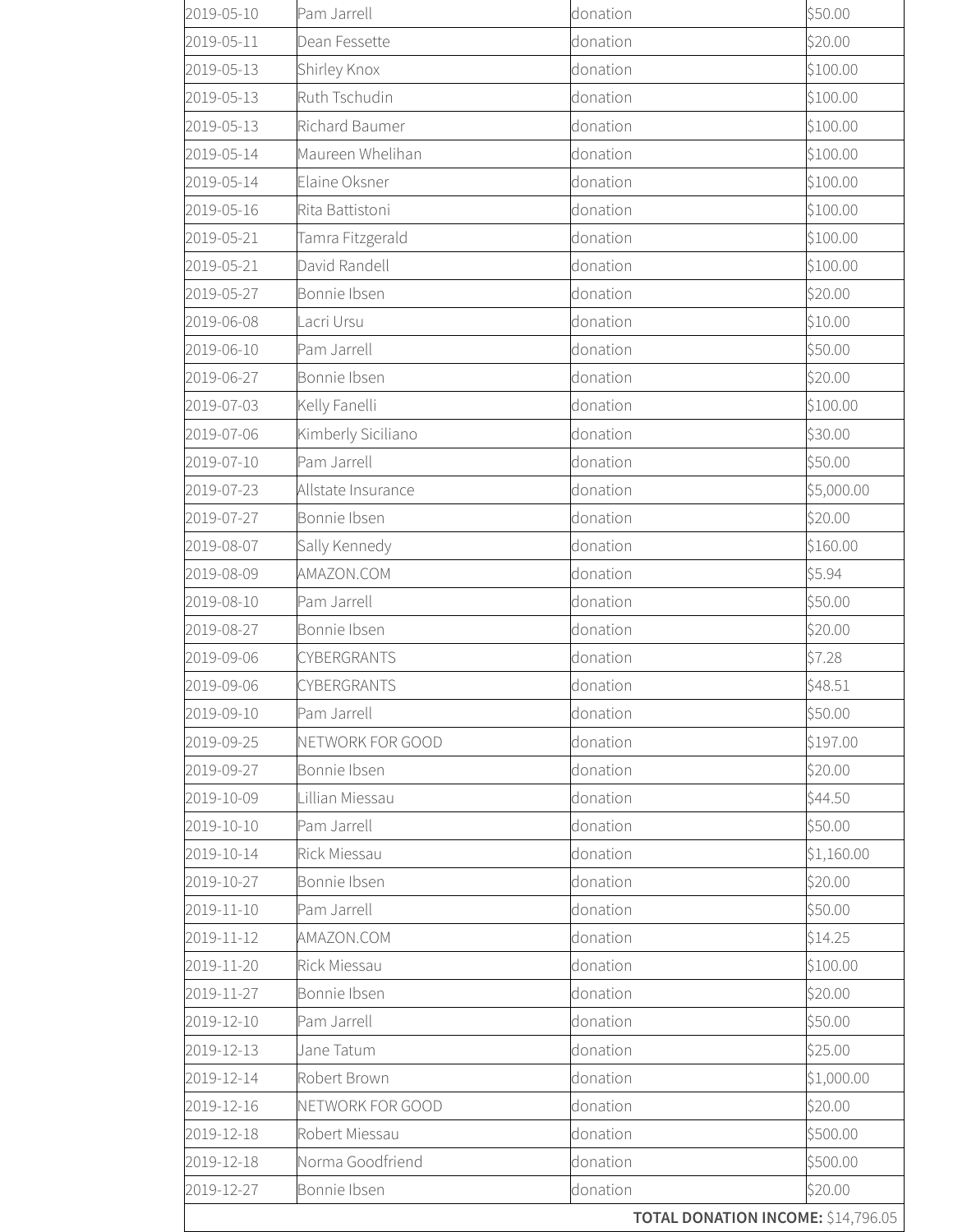| 2019-05-10 | Pam Jarrell        | donation | \$50.00    |
|------------|--------------------|----------|------------|
| 2019-05-11 | Dean Fessette      | donation | \$20.00    |
| 2019-05-13 | Shirley Knox       | donation | \$100.00   |
| 2019-05-13 | Ruth Tschudin      | donation | \$100.00   |
| 2019-05-13 | Richard Baumer     | donation | \$100.00   |
| 2019-05-14 | Maureen Whelihan   | donation | \$100.00   |
| 2019-05-14 | Elaine Oksner      | donation | \$100.00   |
| 2019-05-16 | Rita Battistoni    | donation | \$100.00   |
| 2019-05-21 | Tamra Fitzgerald   | donation | \$100.00   |
| 2019-05-21 | David Randell      | donation | \$100.00   |
| 2019-05-27 | Bonnie Ibsen       | donation | \$20.00    |
| 2019-06-08 | acri Ursu          | donation | \$10.00    |
| 2019-06-10 | Pam Jarrell        | donation | \$50.00    |
| 2019-06-27 | Bonnie Ibsen       | donation | \$20.00    |
| 2019-07-03 | Kelly Fanelli      | donation | \$100.00   |
| 2019-07-06 | Kimberly Siciliano | donation | \$30.00    |
| 2019-07-10 | Pam Jarrell        | donation | \$50.00    |
| 2019-07-23 | Allstate Insurance | donation | \$5,000.00 |
| 2019-07-27 | Bonnie Ibsen       | donation | \$20.00    |
| 2019-08-07 | Sally Kennedy      | donation | \$160.00   |
| 2019-08-09 | AMAZON.COM         | donation | \$5.94     |
| 2019-08-10 | Pam Jarrell        | donation | \$50.00    |
| 2019-08-27 | Bonnie Ibsen       | donation | \$20.00    |
| 2019-09-06 | CYBERGRANTS        | donation | \$7.28     |
| 2019-09-06 | CYBERGRANTS        | donation | \$48.51    |
| 2019-09-10 | Pam Jarrell        | donation | \$50.00    |
| 2019-09-25 | NETWORK FOR GOOD   | donation | \$197.00   |
| 2019-09-27 | Bonnie Ibsen       | donation | \$20.00    |
| 2019-10-09 | Lillian Miessau    | donation | \$44.50    |
| 2019-10-10 | Pam Jarrell        | donation | \$50.00    |
| 2019-10-14 | Rick Miessau       | donation | \$1,160.00 |
| 2019-10-27 | Bonnie Ibsen       | donation | \$20.00    |
| 2019-11-10 | Pam Jarrell        | donation | \$50.00    |
| 2019-11-12 | AMAZON.COM         | donation | \$14.25    |
| 2019-11-20 | Rick Miessau       | donation | \$100.00   |
| 2019-11-27 | Bonnie Ibsen       | donation | \$20.00    |
| 2019-12-10 | Pam Jarrell        | donation | \$50.00    |
| 2019-12-13 | Jane Tatum         | donation | \$25.00    |
| 2019-12-14 | Robert Brown       | donation | \$1,000.00 |
| 2019-12-16 | NETWORK FOR GOOD   | donation | \$20.00    |
| 2019-12-18 | Robert Miessau     | donation | \$500.00   |
| 2019-12-18 | Norma Goodfriend   | donation | \$500.00   |
| 2019-12-27 | Bonnie Ibsen       | donation | \$20.00    |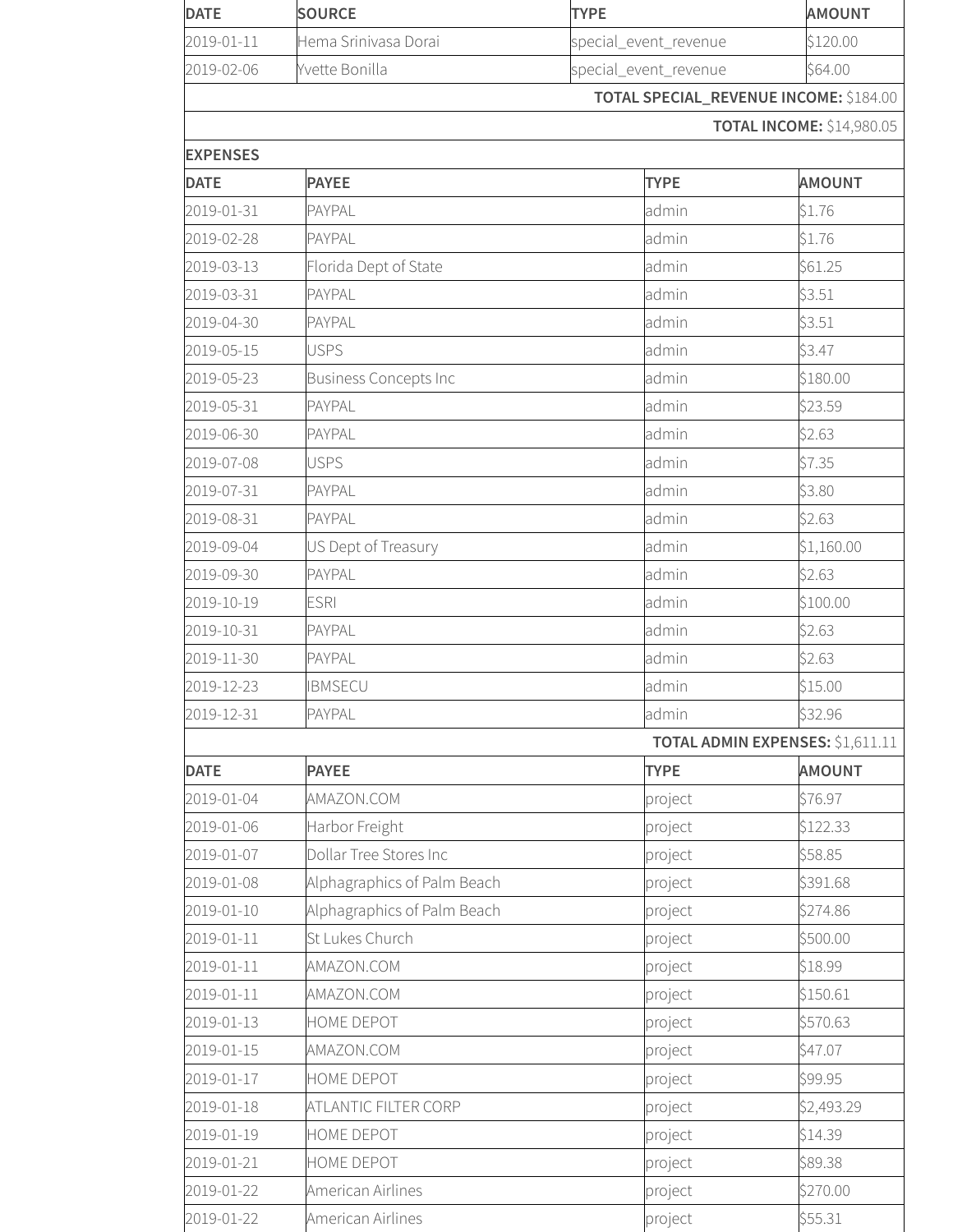| <b>DATE</b>     | <b>SOURCE</b>                | <b>TYPE</b>                                   | <b>AMOUNT</b>                           |
|-----------------|------------------------------|-----------------------------------------------|-----------------------------------------|
| 2019-01-11      | Hema Srinivasa Dorai         | special_event_revenue                         | \$120.00                                |
| 2019-02-06      | Yvette Bonilla               | special_event_revenue                         | \$64.00                                 |
|                 |                              | <b>TOTAL SPECIAL_REVENUE INCOME: \$184.00</b> |                                         |
|                 |                              |                                               | <b>TOTAL INCOME: \$14,980.05</b>        |
| <b>EXPENSES</b> |                              |                                               |                                         |
| <b>DATE</b>     | <b>PAYEE</b>                 | <b>TYPE</b>                                   | <b>AMOUNT</b>                           |
| 2019-01-31      | PAYPAL                       | admin                                         | \$1.76                                  |
| 2019-02-28      | <b>PAYPAL</b>                | admin                                         | \$1.76                                  |
| 2019-03-13      | Florida Dept of State        | admin                                         | \$61.25                                 |
| 2019-03-31      | PAYPAL                       | admin                                         | \$3.51                                  |
| 2019-04-30      | <b>PAYPAL</b>                | admin                                         | \$3.51                                  |
| 2019-05-15      | <b>USPS</b>                  | admin                                         | \$3.47                                  |
| 2019-05-23      | <b>Business Concepts Inc</b> | admin                                         | \$180.00                                |
| 2019-05-31      | PAYPAL                       | admin                                         | \$23.59                                 |
| 2019-06-30      | PAYPAL                       | admin                                         | \$2.63                                  |
| 2019-07-08      | <b>USPS</b>                  | admin                                         | \$7.35                                  |
| 2019-07-31      | PAYPAL                       | admin                                         | \$3.80                                  |
| 2019-08-31      | PAYPAL                       | admin                                         | \$2.63                                  |
| 2019-09-04      | US Dept of Treasury          | admin                                         | \$1,160.00                              |
| 2019-09-30      | PAYPAL                       | admin                                         | \$2.63                                  |
| 2019-10-19      | <b>ESRI</b>                  | admin                                         | \$100.00                                |
| 2019-10-31      | PAYPAL                       | admin                                         | \$2.63                                  |
| 2019-11-30      | PAYPAL                       | admin                                         | \$2.63                                  |
| 2019-12-23      | <b>BMSECU</b>                | admin                                         | \$15.00                                 |
| 2019-12-31      | PAYPAL                       | admin                                         | \$32.96                                 |
|                 |                              |                                               | <b>TOTAL ADMIN EXPENSES: \$1,611.11</b> |
| <b>DATE</b>     | <b>PAYEE</b>                 | <b>TYPE</b>                                   | <b>AMOUNT</b>                           |
| 2019-01-04      | AMAZON.COM                   | project                                       | \$76.97                                 |
| 2019-01-06      | Harbor Freight               | project                                       | \$122.33                                |
| 2019-01-07      | Dollar Tree Stores Inc       | project                                       | \$58.85                                 |
| 2019-01-08      | Alphagraphics of Palm Beach  | project                                       | \$391.68                                |
| 2019-01-10      | Alphagraphics of Palm Beach  | project                                       | \$274.86                                |
| 2019-01-11      | St Lukes Church              | project                                       | \$500.00                                |
| 2019-01-11      | AMAZON.COM                   | project                                       | \$18.99                                 |
| 2019-01-11      | AMAZON.COM                   | project                                       | \$150.61                                |
| 2019-01-13      | HOME DEPOT                   | project                                       | \$570.63                                |
| 2019-01-15      | AMAZON.COM                   | project                                       | \$47.07                                 |
| 2019-01-17      | HOME DEPOT                   | project                                       | \$99.95                                 |
| 2019-01-18      | ATLANTIC FILTER CORP         | project                                       | \$2,493.29                              |
| 2019-01-19      | HOME DEPOT                   | project                                       | \$14.39                                 |
| 2019-01-21      | HOME DEPOT                   | project                                       | \$89.38                                 |
| 2019-01-22      | American Airlines            | project                                       | \$270.00                                |
| 2019-01-22      | American Airlines            | project                                       | \$55.31                                 |